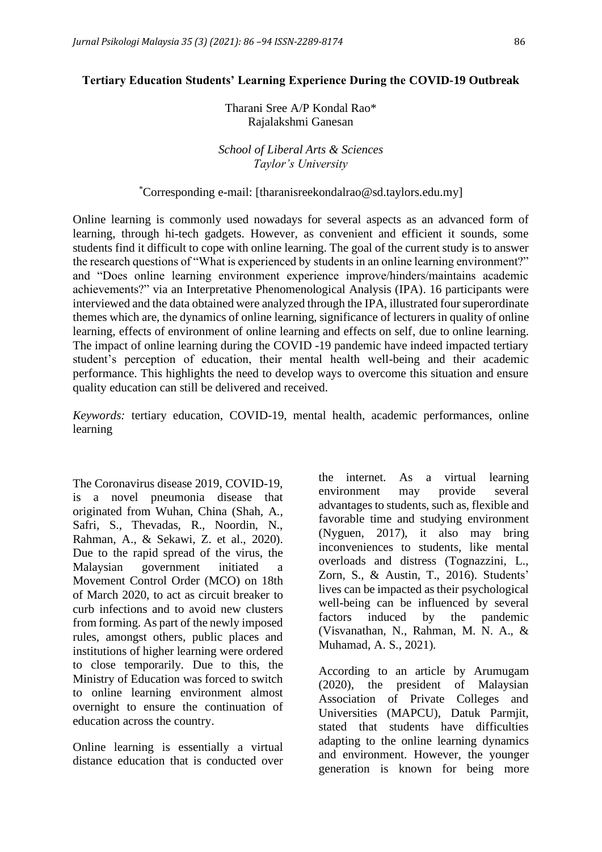#### **Tertiary Education Students' Learning Experience During the COVID-19 Outbreak**

Tharani Sree A/P Kondal Rao\* Rajalakshmi Ganesan

*School of Liberal Arts & Sciences Taylor's University*

#### \*Corresponding e-mail: [tharanisreekondalrao@sd.taylors.edu.my]

Online learning is commonly used nowadays for several aspects as an advanced form of learning, through hi-tech gadgets. However, as convenient and efficient it sounds, some students find it difficult to cope with online learning. The goal of the current study is to answer the research questions of "What is experienced by students in an online learning environment?" and "Does online learning environment experience improve/hinders/maintains academic achievements?" via an Interpretative Phenomenological Analysis (IPA). 16 participants were interviewed and the data obtained were analyzed through the IPA, illustrated four superordinate themes which are, the dynamics of online learning, significance of lecturers in quality of online learning, effects of environment of online learning and effects on self, due to online learning. The impact of online learning during the COVID -19 pandemic have indeed impacted tertiary student's perception of education, their mental health well-being and their academic performance. This highlights the need to develop ways to overcome this situation and ensure quality education can still be delivered and received.

*Keywords:* tertiary education, COVID-19, mental health, academic performances, online learning

The Coronavirus disease 2019, COVID-19, is a novel pneumonia disease that originated from Wuhan, China (Shah, A., Safri, S., Thevadas, R., Noordin, N., Rahman, A., & Sekawi, Z. et al., 2020). Due to the rapid spread of the virus, the Malaysian government initiated a Movement Control Order (MCO) on 18th of March 2020, to act as circuit breaker to curb infections and to avoid new clusters from forming. As part of the newly imposed rules, amongst others, public places and institutions of higher learning were ordered to close temporarily. Due to this, the Ministry of Education was forced to switch to online learning environment almost overnight to ensure the continuation of education across the country.

Online learning is essentially a virtual distance education that is conducted over the internet. As a virtual learning environment may provide several advantages to students, such as, flexible and favorable time and studying environment (Nyguen, 2017), it also may bring inconveniences to students, like mental overloads and distress (Tognazzini, L., Zorn, S., & Austin, T., 2016). Students' lives can be impacted as their psychological well-being can be influenced by several factors induced by the pandemic (Visvanathan, N., Rahman, M. N. A., & Muhamad, A. S., 2021).

According to an article by Arumugam (2020), the president of Malaysian Association of Private Colleges and Universities (MAPCU), Datuk Parmjit, stated that students have difficulties adapting to the online learning dynamics and environment. However, the younger generation is known for being more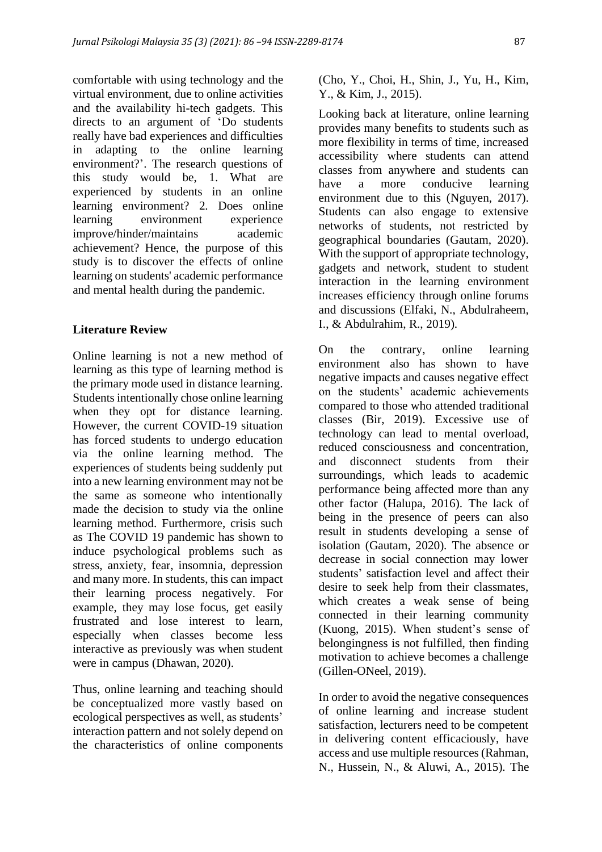comfortable with using technology and the virtual environment, due to online activities and the availability hi-tech gadgets. This directs to an argument of 'Do students really have bad experiences and difficulties in adapting to the online learning environment?'. The research questions of this study would be, 1. What are experienced by students in an online learning environment? 2. Does online learning environment experience improve/hinder/maintains academic achievement? Hence, the purpose of this study is to discover the effects of online learning on students' academic performance and mental health during the pandemic.

### **Literature Review**

Online learning is not a new method of learning as this type of learning method is the primary mode used in distance learning. Students intentionally chose online learning when they opt for distance learning. However, the current COVID-19 situation has forced students to undergo education via the online learning method. The experiences of students being suddenly put into a new learning environment may not be the same as someone who intentionally made the decision to study via the online learning method. Furthermore, crisis such as The COVID 19 pandemic has shown to induce psychological problems such as stress, anxiety, fear, insomnia, depression and many more. In students, this can impact their learning process negatively. For example, they may lose focus, get easily frustrated and lose interest to learn, especially when classes become less interactive as previously was when student were in campus (Dhawan, 2020).

Thus, online learning and teaching should be conceptualized more vastly based on ecological perspectives as well, as students' interaction pattern and not solely depend on the characteristics of online components

(Cho, Y., Choi, H., Shin, J., Yu, H., Kim, Y., & Kim, J., 2015).

Looking back at literature, online learning provides many benefits to students such as more flexibility in terms of time, increased accessibility where students can attend classes from anywhere and students can have a more conducive learning environment due to this (Nguyen, 2017). Students can also engage to extensive networks of students, not restricted by geographical boundaries (Gautam, 2020). With the support of appropriate technology, gadgets and network, student to student interaction in the learning environment increases efficiency through online forums and discussions (Elfaki, N., Abdulraheem, I., & Abdulrahim, R., 2019).

On the contrary, online learning environment also has shown to have negative impacts and causes negative effect on the students' academic achievements compared to those who attended traditional classes (Bir, 2019). Excessive use of technology can lead to mental overload, reduced consciousness and concentration, and disconnect students from their surroundings, which leads to academic performance being affected more than any other factor (Halupa, 2016). The lack of being in the presence of peers can also result in students developing a sense of isolation (Gautam, 2020). The absence or decrease in social connection may lower students' satisfaction level and affect their desire to seek help from their classmates, which creates a weak sense of being connected in their learning community (Kuong, 2015). When student's sense of belongingness is not fulfilled, then finding motivation to achieve becomes a challenge (Gillen-ONeel, 2019).

In order to avoid the negative consequences of online learning and increase student satisfaction, lecturers need to be competent in delivering content efficaciously, have access and use multiple resources (Rahman, N., Hussein, N., & Aluwi, A., 2015). The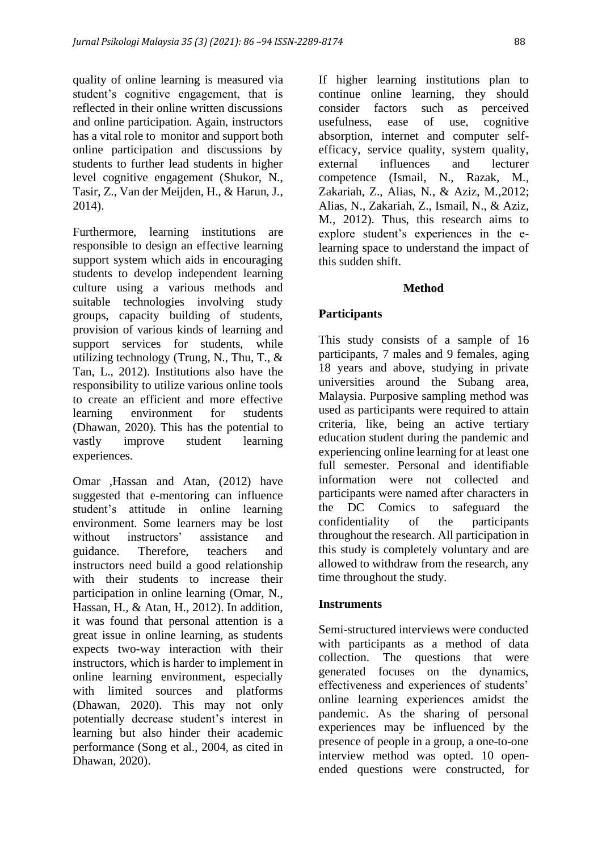quality of online learning is measured via student's cognitive engagement, that is reflected in their online written discussions and online participation. Again, instructors has a vital role to monitor and support both online participation and discussions by students to further lead students in higher level cognitive engagement (Shukor, N., Tasir, Z., Van der Meijden, H., & Harun, J., 2014).

Furthermore, learning institutions are responsible to design an effective learning support system which aids in encouraging students to develop independent learning culture using a various methods and suitable technologies involving study groups, capacity building of students, provision of various kinds of learning and support services for students, while utilizing technology (Trung, N., Thu, T., & Tan, L., 2012). Institutions also have the responsibility to utilize various online tools to create an efficient and more effective learning environment for students (Dhawan, 2020). This has the potential to vastly improve student learning experiences.

Omar ,Hassan and Atan, (2012) have suggested that e-mentoring can influence student's attitude in online learning environment. Some learners may be lost without instructors' assistance and guidance. Therefore, teachers and instructors need build a good relationship with their students to increase their participation in online learning (Omar, N., Hassan, H., & Atan, H., 2012). In addition, it was found that personal attention is a great issue in online learning, as students expects two-way interaction with their instructors, which is harder to implement in online learning environment, especially with limited sources and platforms (Dhawan, 2020). This may not only potentially decrease student's interest in learning but also hinder their academic performance (Song et al., 2004, as cited in Dhawan, 2020).

If higher learning institutions plan to continue online learning, they should consider factors such as perceived usefulness, ease of use, cognitive absorption, internet and computer selfefficacy, service quality, system quality, external influences and lecturer competence (Ismail, N., Razak, M., Zakariah, Z., Alias, N., & Aziz, M.,2012; Alias, N., Zakariah, Z., Ismail, N., & Aziz, M., 2012). Thus, this research aims to explore student's experiences in the elearning space to understand the impact of this sudden shift.

## **Method**

# **Participants**

This study consists of a sample of 16 participants, 7 males and 9 females, aging 18 years and above, studying in private universities around the Subang area, Malaysia. Purposive sampling method was used as participants were required to attain criteria, like, being an active tertiary education student during the pandemic and experiencing online learning for at least one full semester. Personal and identifiable information were not collected and participants were named after characters in the DC Comics to safeguard the confidentiality of the participants throughout the research. All participation in this study is completely voluntary and are allowed to withdraw from the research, any time throughout the study.

# **Instruments**

Semi-structured interviews were conducted with participants as a method of data collection. The questions that were generated focuses on the dynamics, effectiveness and experiences of students' online learning experiences amidst the pandemic. As the sharing of personal experiences may be influenced by the presence of people in a group, a one-to-one interview method was opted. 10 openended questions were constructed, for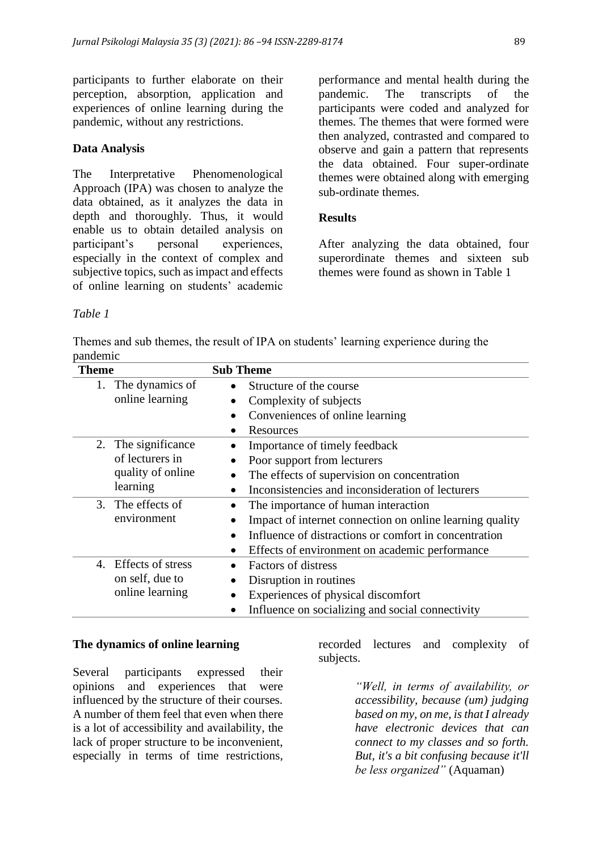participants to further elaborate on their perception, absorption, application and experiences of online learning during the pandemic, without any restrictions.

### **Data Analysis**

The Interpretative Phenomenological Approach (IPA) was chosen to analyze the data obtained, as it analyzes the data in depth and thoroughly. Thus, it would enable us to obtain detailed analysis on participant's personal experiences, especially in the context of complex and subjective topics, such as impact and effects of online learning on students' academic

performance and mental health during the pandemic. The transcripts of the participants were coded and analyzed for themes. The themes that were formed were then analyzed, contrasted and compared to observe and gain a pattern that represents the data obtained. Four super-ordinate themes were obtained along with emerging sub-ordinate themes.

### **Results**

After analyzing the data obtained, four superordinate themes and sixteen sub themes were found as shown in Table 1

#### *Table 1*

Themes and sub themes, the result of IPA on students' learning experience during the pandemic

| <b>Theme</b> |                   | <b>Sub Theme</b>                                                   |
|--------------|-------------------|--------------------------------------------------------------------|
|              | The dynamics of   | Structure of the course                                            |
|              | online learning   | Complexity of subjects                                             |
|              |                   | Conveniences of online learning<br>$\bullet$                       |
|              |                   | Resources                                                          |
| 2.           | The significance  | Importance of timely feedback                                      |
|              | of lecturers in   | Poor support from lecturers                                        |
|              | quality of online | The effects of supervision on concentration                        |
|              | learning          | Inconsistencies and inconsideration of lecturers                   |
|              | 3. The effects of | The importance of human interaction                                |
|              | environment       | Impact of internet connection on online learning quality           |
|              |                   | Influence of distractions or comfort in concentration<br>$\bullet$ |
|              |                   | Effects of environment on academic performance                     |
| 4.           | Effects of stress | <b>Factors of distress</b>                                         |
|              | on self, due to   | Disruption in routines                                             |
|              | online learning   | Experiences of physical discomfort                                 |
|              |                   | Influence on socializing and social connectivity                   |

#### **The dynamics of online learning**

Several participants expressed their opinions and experiences that were influenced by the structure of their courses. A number of them feel that even when there is a lot of accessibility and availability, the lack of proper structure to be inconvenient, especially in terms of time restrictions,

recorded lectures and complexity of subjects.

> *"Well, in terms of availability, or accessibility, because (um) judging based on my, on me, is that I already have electronic devices that can connect to my classes and so forth. But, it's a bit confusing because it'll be less organized"* (Aquaman)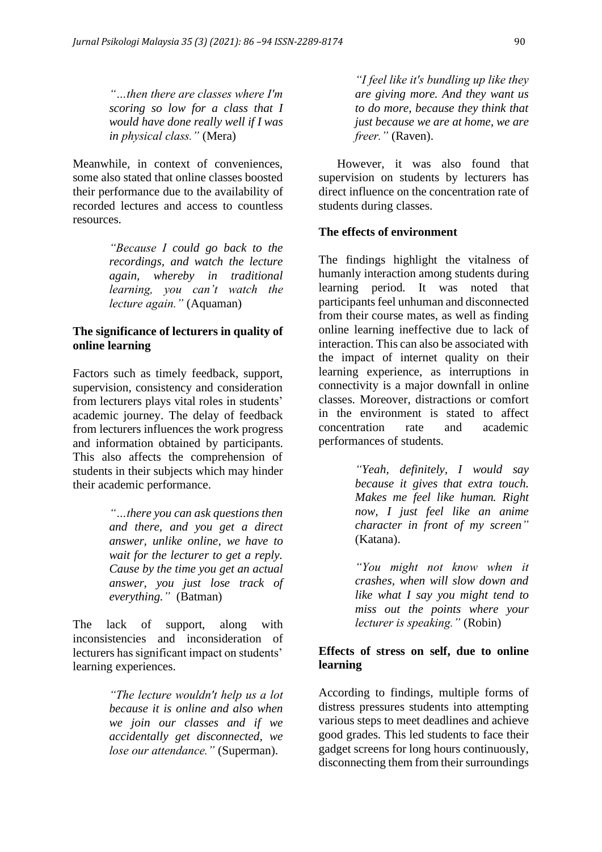*"…then there are classes where I'm scoring so low for a class that I would have done really well if I was in physical class."* (Mera)

Meanwhile, in context of conveniences, some also stated that online classes boosted their performance due to the availability of recorded lectures and access to countless resources.

> *"Because I could go back to the recordings, and watch the lecture again, whereby in traditional learning, you can't watch the lecture again."* (Aquaman)

## **The significance of lecturers in quality of online learning**

Factors such as timely feedback, support, supervision, consistency and consideration from lecturers plays vital roles in students' academic journey. The delay of feedback from lecturers influences the work progress and information obtained by participants. This also affects the comprehension of students in their subjects which may hinder their academic performance.

> *"…there you can ask questions then and there, and you get a direct answer, unlike online, we have to wait for the lecturer to get a reply. Cause by the time you get an actual answer, you just lose track of everything."* (Batman)

The lack of support, along with inconsistencies and inconsideration of lecturers has significant impact on students' learning experiences.

> *"The lecture wouldn't help us a lot because it is online and also when we join our classes and if we accidentally get disconnected, we lose our attendance."* (Superman).

*"I feel like it's bundling up like they are giving more. And they want us to do more, because they think that just because we are at home, we are freer."* (Raven).

 However, it was also found that supervision on students by lecturers has direct influence on the concentration rate of students during classes.

# **The effects of environment**

The findings highlight the vitalness of humanly interaction among students during learning period. It was noted that participants feel unhuman and disconnected from their course mates, as well as finding online learning ineffective due to lack of interaction. This can also be associated with the impact of internet quality on their learning experience, as interruptions in connectivity is a major downfall in online classes. Moreover, distractions or comfort in the environment is stated to affect concentration rate and academic performances of students.

> *"Yeah, definitely, I would say because it gives that extra touch. Makes me feel like human. Right now, I just feel like an anime character in front of my screen"* (Katana).

> *"You might not know when it crashes, when will slow down and like what I say you might tend to miss out the points where your lecturer is speaking."* (Robin)

# **Effects of stress on self, due to online learning**

According to findings, multiple forms of distress pressures students into attempting various steps to meet deadlines and achieve good grades. This led students to face their gadget screens for long hours continuously, disconnecting them from their surroundings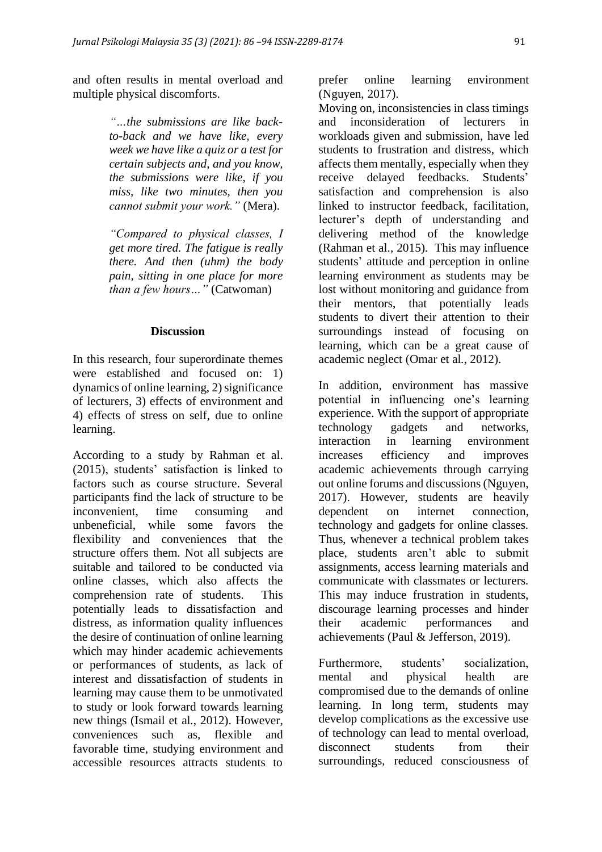and often results in mental overload and multiple physical discomforts.

> *"…the submissions are like backto-back and we have like, every week we have like a quiz or a test for certain subjects and, and you know, the submissions were like, if you miss, like two minutes, then you cannot submit your work."* (Mera).

> *"Compared to physical classes, I get more tired. The fatigue is really there. And then (uhm) the body pain, sitting in one place for more than a few hours…"* (Catwoman)

### **Discussion**

In this research, four superordinate themes were established and focused on: 1) dynamics of online learning, 2) significance of lecturers, 3) effects of environment and 4) effects of stress on self, due to online learning.

According to a study by Rahman et al. (2015), students' satisfaction is linked to factors such as course structure. Several participants find the lack of structure to be inconvenient, time consuming and unbeneficial, while some favors the flexibility and conveniences that the structure offers them. Not all subjects are suitable and tailored to be conducted via online classes, which also affects the comprehension rate of students. This potentially leads to dissatisfaction and distress, as information quality influences the desire of continuation of online learning which may hinder academic achievements or performances of students, as lack of interest and dissatisfaction of students in learning may cause them to be unmotivated to study or look forward towards learning new things (Ismail et al., 2012). However, conveniences such as, flexible and favorable time, studying environment and accessible resources attracts students to

prefer online learning environment (Nguyen, 2017).

Moving on, inconsistencies in class timings and inconsideration of lecturers in workloads given and submission, have led students to frustration and distress, which affects them mentally, especially when they receive delayed feedbacks. Students' satisfaction and comprehension is also linked to instructor feedback, facilitation, lecturer's depth of understanding and delivering method of the knowledge (Rahman et al., 2015). This may influence students' attitude and perception in online learning environment as students may be lost without monitoring and guidance from their mentors, that potentially leads students to divert their attention to their surroundings instead of focusing on learning, which can be a great cause of academic neglect (Omar et al., 2012).

In addition, environment has massive potential in influencing one's learning experience. With the support of appropriate technology gadgets and networks, interaction in learning environment increases efficiency and improves academic achievements through carrying out online forums and discussions (Nguyen, 2017). However, students are heavily dependent on internet connection, technology and gadgets for online classes. Thus, whenever a technical problem takes place, students aren't able to submit assignments, access learning materials and communicate with classmates or lecturers. This may induce frustration in students, discourage learning processes and hinder their academic performances and achievements (Paul & Jefferson, 2019).

Furthermore, students' socialization, mental and physical health are compromised due to the demands of online learning. In long term, students may develop complications as the excessive use of technology can lead to mental overload, disconnect students from their surroundings, reduced consciousness of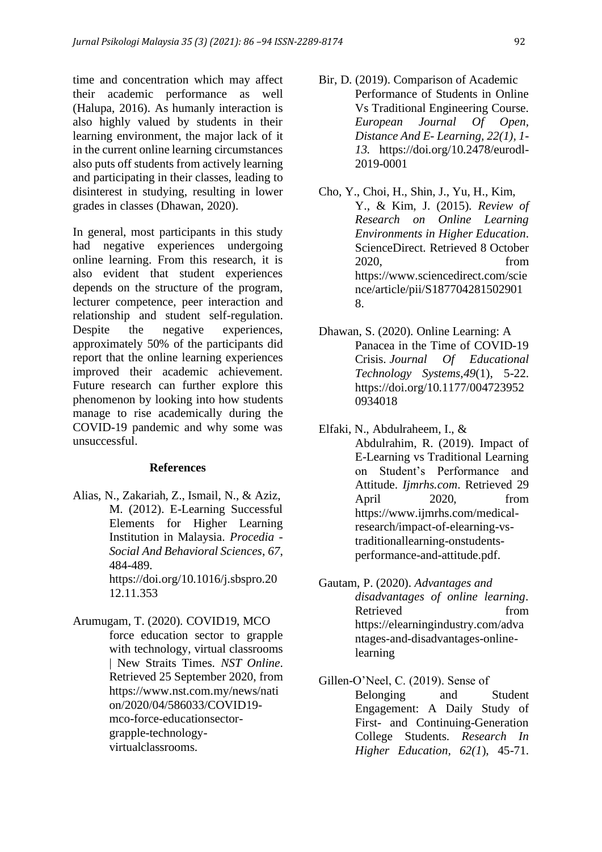time and concentration which may affect their academic performance as well (Halupa, 2016). As humanly interaction is also highly valued by students in their learning environment, the major lack of it in the current online learning circumstances also puts off students from actively learning and participating in their classes, leading to disinterest in studying, resulting in lower grades in classes (Dhawan, 2020).

In general, most participants in this study had negative experiences undergoing online learning. From this research, it is also evident that student experiences depends on the structure of the program, lecturer competence, peer interaction and relationship and student self-regulation. Despite the negative experiences, approximately 50% of the participants did report that the online learning experiences improved their academic achievement. Future research can further explore this phenomenon by looking into how students manage to rise academically during the COVID-19 pandemic and why some was unsuccessful.

#### **References**

Alias, N., Zakariah, Z., Ismail, N., & Aziz, M. (2012). E-Learning Successful Elements for Higher Learning Institution in Malaysia. *Procedia - Social And Behavioral Sciences*, *67*, 484-489. https://doi.org/10.1016/j.sbspro.20 12.11.353

Arumugam, T. (2020). COVID19, MCO force education sector to grapple with technology, virtual classrooms | New Straits Times. *NST Online*. Retrieved 25 September 2020, from https://www.nst.com.my/news/nati on/2020/04/586033/COVID19 mco-force-educationsectorgrapple-technologyvirtualclassrooms.

- Bir, D. (2019). Comparison of Academic Performance of Students in Online Vs Traditional Engineering Course. *European Journal Of Open, Distance And E- Learning, 22(1), 1- 13.* https://doi.org/10.2478/eurodl-2019-0001
- Cho, Y., Choi, H., Shin, J., Yu, H., Kim, Y., & Kim, J. (2015). *Review of Research on Online Learning Environments in Higher Education*. ScienceDirect. Retrieved 8 October 2020, from https://www.sciencedirect.com/scie nce/article/pii/S187704281502901 8.
- Dhawan, S. (2020). Online Learning: A Panacea in the Time of COVID-19 Crisis. *Journal Of Educational Technology Systems*,*49*(1), 5-22. https://doi.org/10.1177/004723952 0934018
- Elfaki, N., Abdulraheem, I., & Abdulrahim, R. (2019). Impact of E-Learning vs Traditional Learning on Student's Performance and Attitude. *Ijmrhs.com*. Retrieved 29 April 2020, from https://www.ijmrhs.com/medicalresearch/impact-of-elearning-vstraditionallearning-onstudentsperformance-and-attitude.pdf.
- Gautam, P. (2020). *Advantages and disadvantages of online learning*. Retrieved from https://elearningindustry.com/adva ntages-and-disadvantages-onlinelearning
- Gillen-O'Neel, C. (2019). Sense of Belonging and Student Engagement: A Daily Study of First- and Continuing-Generation College Students. *Research In Higher Education, 62(1*), 45-71.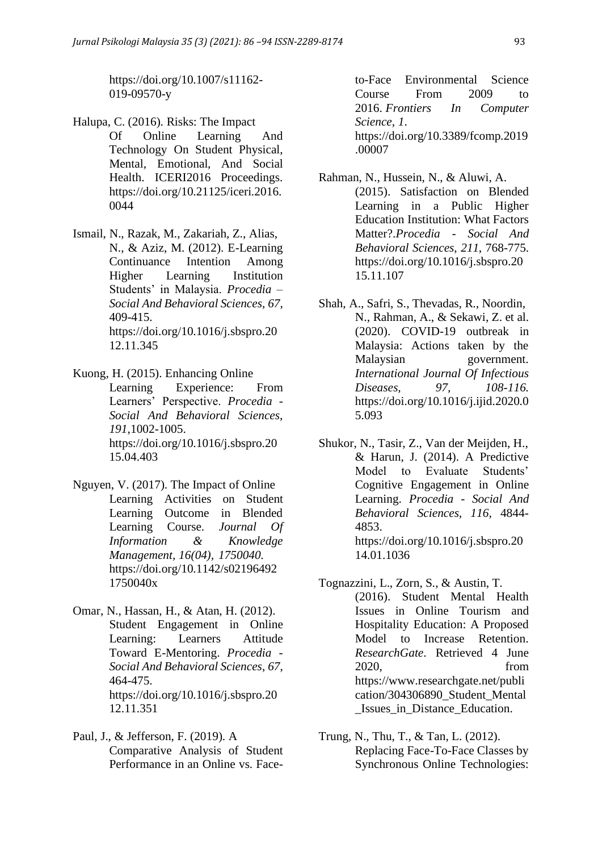https://doi.org/10.1007/s11162- 019-09570-y

- Halupa, C. (2016). Risks: The Impact Of Online Learning And Technology On Student Physical, Mental, Emotional, And Social Health. ICERI2016 Proceedings. https://doi.org/10.21125/iceri.2016. 0044
- Ismail, N., Razak, M., Zakariah, Z., Alias, N., & Aziz, M. (2012). E-Learning Continuance Intention Among Higher Learning Institution Students' in Malaysia. *Procedia – Social And Behavioral Sciences*, *67*, 409-415. https://doi.org/10.1016/j.sbspro.20 12.11.345
- Kuong, H. (2015). Enhancing Online Learning Experience: From Learners' Perspective. *Procedia - Social And Behavioral Sciences*, *191*,1002-1005. https://doi.org/10.1016/j.sbspro.20 15.04.403
- Nguyen, V. (2017). The Impact of Online Learning Activities on Student Learning Outcome in Blended Learning Course. *Journal Of Information & Knowledge Management, 16(04), 1750040.*  https://doi.org/10.1142/s02196492 1750040x
- Omar, N., Hassan, H., & Atan, H. (2012). Student Engagement in Online Learning: Learners Attitude Toward E-Mentoring. *Procedia - Social And Behavioral Sciences*, *67*, 464-475. https://doi.org/10.1016/j.sbspro.20 12.11.351
- Paul, J., & Jefferson, F. (2019). A Comparative Analysis of Student Performance in an Online vs. Face-

to-Face Environmental Science Course From 2009 to 2016. *Frontiers In Computer Science*, *1*. https://doi.org/10.3389/fcomp.2019 .00007

- Rahman, N., Hussein, N., & Aluwi, A. (2015). Satisfaction on Blended Learning in a Public Higher Education Institution: What Factors Matter?.*Procedia - Social And Behavioral Sciences*, *211*, 768-775. https://doi.org/10.1016/j.sbspro.20 15.11.107
- Shah, A., Safri, S., Thevadas, R., Noordin, N., Rahman, A., & Sekawi, Z. et al. (2020). COVID-19 outbreak in Malaysia: Actions taken by the Malaysian government. *International Journal Of Infectious Diseases, 97, 108-116.*  https://doi.org/10.1016/j.ijid.2020.0 5.093
- Shukor, N., Tasir, Z., Van der Meijden, H., & Harun, J. (2014). A Predictive Model to Evaluate Students' Cognitive Engagement in Online Learning. *Procedia - Social And Behavioral Sciences*, *116*, 4844- 4853. https://doi.org/10.1016/j.sbspro.20 14.01.1036
- Tognazzini, L., Zorn, S., & Austin, T. (2016). Student Mental Health Issues in Online Tourism and Hospitality Education: A Proposed Model to Increase Retention. *ResearchGate*. Retrieved 4 June 2020, from https://www.researchgate.net/publi cation/304306890\_Student\_Mental \_Issues\_in\_Distance\_Education.
- Trung, N., Thu, T., & Tan, L. (2012). Replacing Face-To-Face Classes by Synchronous Online Technologies: